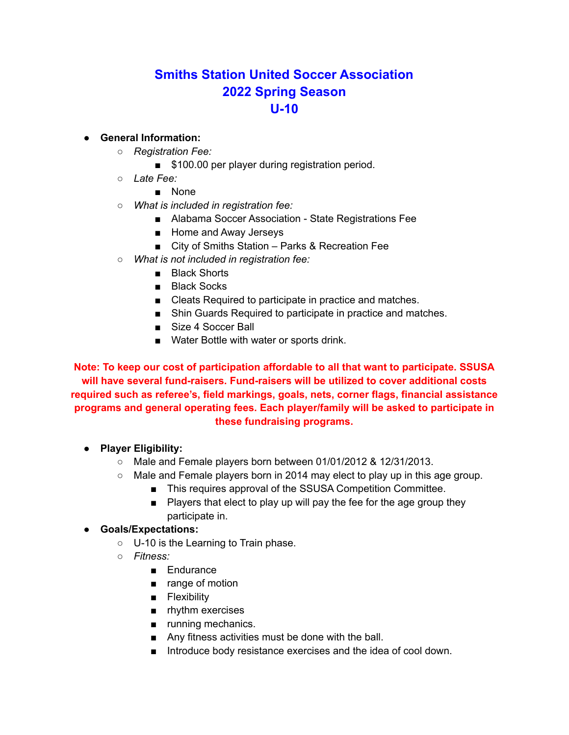# **Smiths Station United Soccer Association 2022 Spring Season U-10**

## ● **General Information:**

- *Registration Fee:*
	- \$100.00 per player during registration period.
- *Late Fee:*
	- None
- *What is included in registration fee:*
	- Alabama Soccer Association State Registrations Fee
	- Home and Away Jerseys
	- City of Smiths Station Parks & Recreation Fee
- *What is not included in registration fee:*
	- Black Shorts
	- Black Socks
	- Cleats Required to participate in practice and matches.
	- Shin Guards Required to participate in practice and matches.
	- Size 4 Soccer Ball
	- Water Bottle with water or sports drink.

**Note: To keep our cost of participation affordable to all that want to participate. SSUSA will have several fund-raisers. Fund-raisers will be utilized to cover additional costs required such as referee's, field markings, goals, nets, corner flags, financial assistance programs and general operating fees. Each player/family will be asked to participate in these fundraising programs.**

- **Player Eligibility:**
	- Male and Female players born between 01/01/2012 & 12/31/2013.
	- $\circ$  Male and Female players born in 2014 may elect to play up in this age group.
		- This requires approval of the SSUSA Competition Committee.
		- Players that elect to play up will pay the fee for the age group they participate in.

#### ● **Goals/Expectations:**

- U-10 is the Learning to Train phase.
- *○ Fitness:*
	- Endurance
	- range of motion
	- Flexibility
	- rhythm exercises
	- running mechanics.
	- Any fitness activities must be done with the ball.
	- Introduce body resistance exercises and the idea of cool down.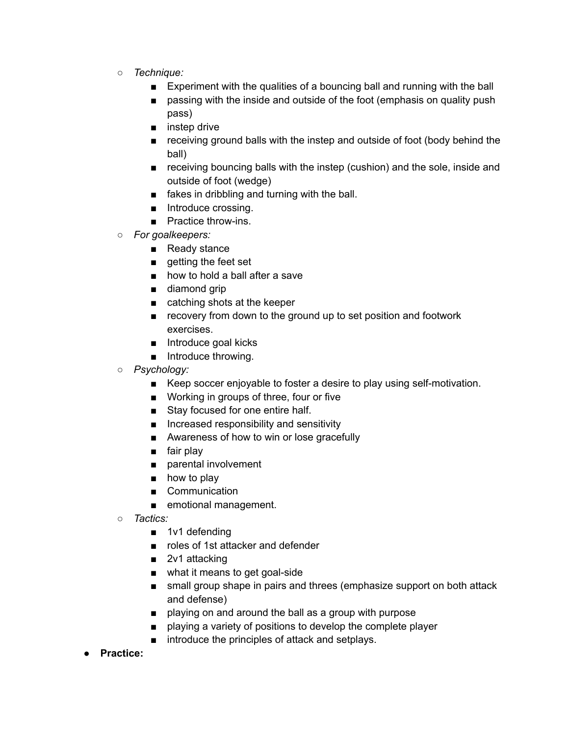- *Technique:*
	- Experiment with the qualities of a bouncing ball and running with the ball
	- passing with the inside and outside of the foot (emphasis on quality push pass)
	- instep drive
	- receiving ground balls with the instep and outside of foot (body behind the ball)
	- receiving bouncing balls with the instep (cushion) and the sole, inside and outside of foot (wedge)
	- fakes in dribbling and turning with the ball.
	- Introduce crossing.
	- Practice throw-ins.
- *For goalkeepers:*
	- Ready stance
	- getting the feet set
	- how to hold a ball after a save
	- diamond grip
	- catching shots at the keeper
	- recovery from down to the ground up to set position and footwork exercises.
	- Introduce goal kicks
	- Introduce throwing.
- *Psychology:*
	- Keep soccer enjoyable to foster a desire to play using self-motivation.
	- Working in groups of three, four or five
	- Stay focused for one entire half.
	- Increased responsibility and sensitivity
	- Awareness of how to win or lose gracefully
	- fair play
	- parental involvement
	- how to play
	- Communication
	- emotional management.
- *Tactics:*
	- 1v1 defending
	- roles of 1st attacker and defender
	- 2v1 attacking
	- what it means to get goal-side
	- small group shape in pairs and threes (emphasize support on both attack and defense)
	- playing on and around the ball as a group with purpose
	- playing a variety of positions to develop the complete player
	- introduce the principles of attack and setplays.
- **● Practice:**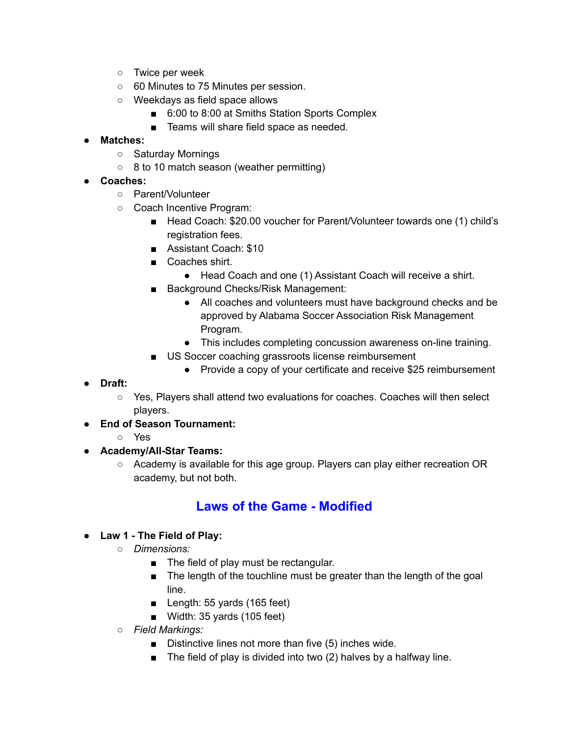- Twice per week
- 60 Minutes to 75 Minutes per session.
- Weekdays as field space allows
	- 6:00 to 8:00 at Smiths Station Sports Complex
	- Teams will share field space as needed.

#### **● Matches:**

- Saturday Mornings
- 8 to 10 match season (weather permitting)
- **Coaches:**
	- Parent/Volunteer
	- Coach Incentive Program:
		- Head Coach: \$20.00 voucher for Parent/Volunteer towards one (1) child's registration fees.
		- Assistant Coach: \$10
		- Coaches shirt.
			- Head Coach and one (1) Assistant Coach will receive a shirt.
		- Background Checks/Risk Management:
			- All coaches and volunteers must have background checks and be approved by Alabama Soccer Association Risk Management Program.
			- This includes completing concussion awareness on-line training.
		- US Soccer coaching grassroots license reimbursement
			- Provide a copy of your certificate and receive \$25 reimbursement
- **Draft:**
	- Yes, Players shall attend two evaluations for coaches. Coaches will then select players.
- **End of Season Tournament:**
	- Yes
- **Academy/All-Star Teams:**
	- Academy is available for this age group. Players can play either recreation OR academy, but not both.

# **Laws of the Game - Modified**

#### ● **Law 1 - The Field of Play:**

- *Dimensions:*
	- The field of play must be rectangular.
	- The length of the touchline must be greater than the length of the goal line.
	- Length: 55 yards (165 feet)
	- Width: 35 yards (105 feet)
- *Field Markings:*
	- Distinctive lines not more than five (5) inches wide.
	- The field of play is divided into two (2) halves by a halfway line.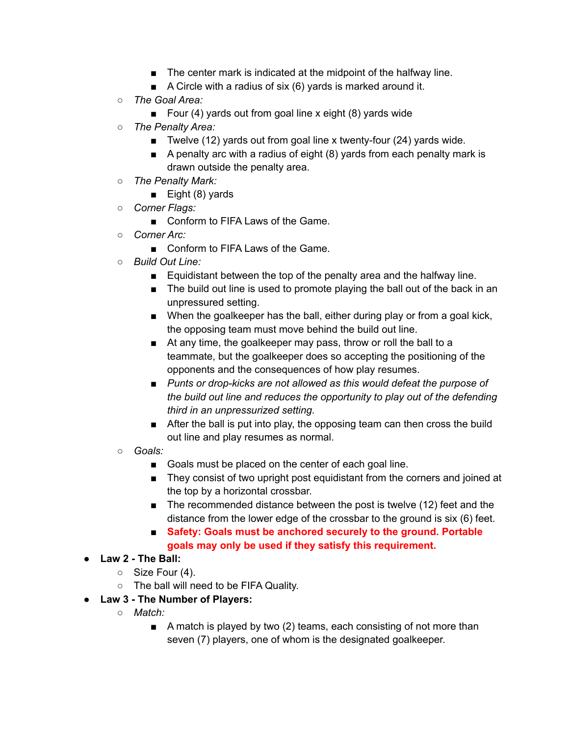- The center mark is indicated at the midpoint of the halfway line.
- A Circle with a radius of six (6) yards is marked around it.
- *The Goal Area:*
	- Four (4) yards out from goal line x eight (8) yards wide
- *The Penalty Area:*
	- Twelve (12) yards out from goal line x twenty-four (24) yards wide.
	- A penalty arc with a radius of eight (8) yards from each penalty mark is drawn outside the penalty area.
- *The Penalty Mark:*
	- Eight (8) yards
- *Corner Flags:*
	- Conform to FIFA Laws of the Game.
- *Corner Arc:*
	- Conform to FIFA Laws of the Game.
- *Build Out Line:*
	- Equidistant between the top of the penalty area and the halfway line.
	- The build out line is used to promote playing the ball out of the back in an unpressured setting.
	- When the goalkeeper has the ball, either during play or from a goal kick, the opposing team must move behind the build out line.
	- At any time, the goalkeeper may pass, throw or roll the ball to a teammate, but the goalkeeper does so accepting the positioning of the opponents and the consequences of how play resumes.
	- *Punts or drop-kicks are not allowed as this would defeat the purpose of the build out line and reduces the opportunity to play out of the defending third in an unpressurized setting.*
	- After the ball is put into play, the opposing team can then cross the build out line and play resumes as normal.
- *○ Goals:*
	- Goals must be placed on the center of each goal line.
	- They consist of two upright post equidistant from the corners and joined at the top by a horizontal crossbar.
	- The recommended distance between the post is twelve (12) feet and the distance from the lower edge of the crossbar to the ground is six (6) feet.
	- **Safety: Goals must be anchored securely to the ground. Portable goals may only be used if they satisfy this requirement.**
- **● Law 2 - The Ball:**
	- Size Four (4).
	- The ball will need to be FIFA Quality.
- **Law 3 - The Number of Players:**
	- *Match:*
		- A match is played by two (2) teams, each consisting of not more than seven (7) players, one of whom is the designated goalkeeper.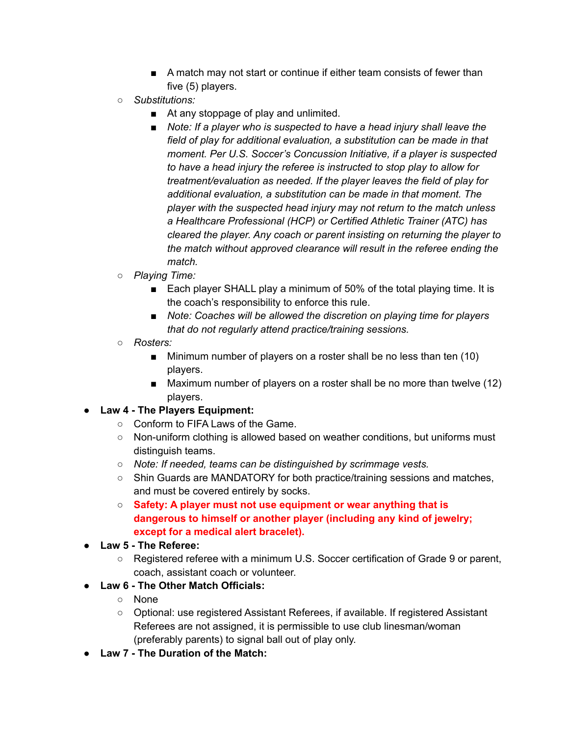- A match may not start or continue if either team consists of fewer than five (5) players.
- *○ Substitutions:*
	- At any stoppage of play and unlimited.
	- *■ Note: If a player who is suspected to have a head injury shall leave the field of play for additional evaluation, a substitution can be made in that moment. Per U.S. Soccer's Concussion Initiative, if a player is suspected to have a head injury the referee is instructed to stop play to allow for treatment/evaluation as needed. If the player leaves the field of play for additional evaluation, a substitution can be made in that moment. The player with the suspected head injury may not return to the match unless a Healthcare Professional (HCP) or Certified Athletic Trainer (ATC) has cleared the player. Any coach or parent insisting on returning the player to the match without approved clearance will result in the referee ending the match.*
- *Playing Time:*
	- Each player SHALL play a minimum of 50% of the total playing time. It is the coach's responsibility to enforce this rule.
	- *■ Note: Coaches will be allowed the discretion on playing time for players that do not regularly attend practice/training sessions.*
- *Rosters:*
	- Minimum number of players on a roster shall be no less than ten (10) players.
	- Maximum number of players on a roster shall be no more than twelve (12) players.
- **● Law 4 - The Players Equipment:**
	- Conform to FIFA Laws of the Game.
	- Non-uniform clothing is allowed based on weather conditions, but uniforms must distinguish teams.
	- *Note: If needed, teams can be distinguished by scrimmage vests.*
	- Shin Guards are MANDATORY for both practice/training sessions and matches, and must be covered entirely by socks.
	- **Safety: A player must not use equipment or wear anything that is dangerous to himself or another player (including any kind of jewelry; except for a medical alert bracelet).**
- **● Law 5 - The Referee:**
	- Registered referee with a minimum U.S. Soccer certification of Grade 9 or parent, coach, assistant coach or volunteer.
- **● Law 6 - The Other Match Officials:**
	- None
	- *○* Optional: use registered Assistant Referees, if available. If registered Assistant Referees are not assigned, it is permissible to use club linesman/woman (preferably parents) to signal ball out of play only.
- **● Law 7 - The Duration of the Match:**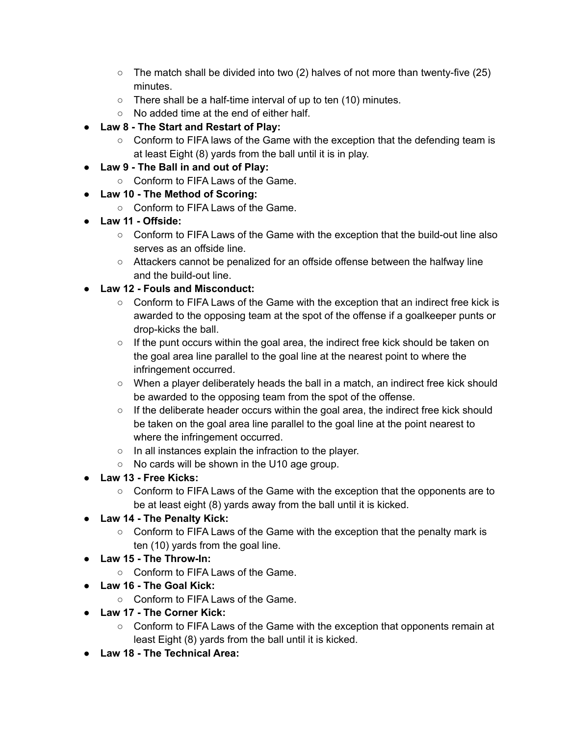- $\circ$  The match shall be divided into two (2) halves of not more than twenty-five (25) minutes.
- $\circ$  There shall be a half-time interval of up to ten (10) minutes.
- No added time at the end of either half.
- **Law 8 - The Start and Restart of Play:**
	- Conform to FIFA laws of the Game with the exception that the defending team is at least Eight (8) yards from the ball until it is in play.
- **● Law 9 - The Ball in and out of Play:**
	- Conform to FIFA Laws of the Game.
- **Law 10 - The Method of Scoring:**
	- Conform to FIFA Laws of the Game.
- **Law 11 - Offside:**
	- Conform to FIFA Laws of the Game with the exception that the build-out line also serves as an offside line.
	- Attackers cannot be penalized for an offside offense between the halfway line and the build-out line.
- **Law 12 - Fouls and Misconduct:**
	- Conform to FIFA Laws of the Game with the exception that an indirect free kick is awarded to the opposing team at the spot of the offense if a goalkeeper punts or drop-kicks the ball.
	- $\circ$  If the punt occurs within the goal area, the indirect free kick should be taken on the goal area line parallel to the goal line at the nearest point to where the infringement occurred.
	- When a player deliberately heads the ball in a match, an indirect free kick should be awarded to the opposing team from the spot of the offense.
	- $\circ$  If the deliberate header occurs within the goal area, the indirect free kick should be taken on the goal area line parallel to the goal line at the point nearest to where the infringement occurred.
	- In all instances explain the infraction to the player.
	- No cards will be shown in the U10 age group.
- **Law 13 - Free Kicks:**
	- Conform to FIFA Laws of the Game with the exception that the opponents are to be at least eight (8) yards away from the ball until it is kicked.
- **● Law 14 - The Penalty Kick:**
	- Conform to FIFA Laws of the Game with the exception that the penalty mark is ten (10) yards from the goal line.
- **Law 15 - The Throw-In:**
	- Conform to FIFA Laws of the Game.
- **Law 16 - The Goal Kick:**
	- Conform to FIFA Laws of the Game.
- **Law 17 - The Corner Kick:**
	- Conform to FIFA Laws of the Game with the exception that opponents remain at least Eight (8) yards from the ball until it is kicked.
- **Law 18 - The Technical Area:**